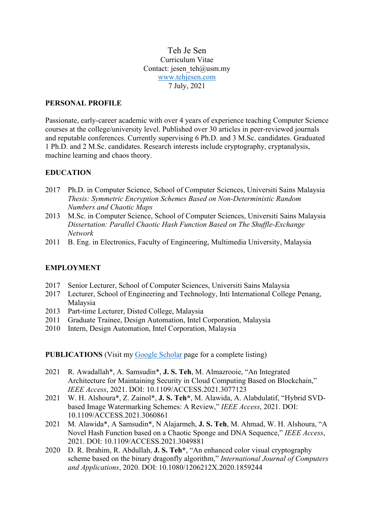Teh Je Sen Curriculum Vitae Contact: jesen\_teh@usm.my [www.tehjesen.com](http://www.tehjesen.com/) 7 July, 2021

#### **PERSONAL PROFILE**

Passionate, early-career academic with over 4 years of experience teaching Computer Science courses at the college/university level. Published over 30 articles in peer-reviewed journals and reputable conferences. Currently supervising 6 Ph.D. and 3 M.Sc. candidates. Graduated 1 Ph.D. and 2 M.Sc. candidates. Research interests include cryptography, cryptanalysis, machine learning and chaos theory.

#### **EDUCATION**

- 2017 Ph.D. in Computer Science, School of Computer Sciences, Universiti Sains Malaysia *Thesis: Symmetric Encryption Schemes Based on Non-Deterministic Random Numbers and Chaotic Maps*
- 2013 M.Sc. in Computer Science, School of Computer Sciences, Universiti Sains Malaysia *Dissertation: Parallel Chaotic Hash Function Based on The Shuffle-Exchange Network*
- 2011 B. Eng. in Electronics, Faculty of Engineering, Multimedia University, Malaysia

### **EMPLOYMENT**

- 2017 Senior Lecturer, School of Computer Sciences, Universiti Sains Malaysia
- 2017 Lecturer, School of Engineering and Technology, Inti International College Penang, Malaysia
- 2013 Part-time Lecturer, Disted College, Malaysia
- 2011 Graduate Trainee, Design Automation, Intel Corporation, Malaysia
- 2010 Intern, Design Automation, Intel Corporation, Malaysia

**PUBLICATIONS** (Visit my [Google Scholar](https://scholar.google.com/citations?user=fFA8aYcAAAAJ) page for a complete listing)

- 2021 R. Awadallah\*, A. Samsudin\*, **J. S. Teh**, M. Almazrooie, "An Integrated Architecture for Maintaining Security in Cloud Computing Based on Blockchain," *IEEE Access*, 2021. DOI: 10.1109/ACCESS.2021.3077123
- 2021 W. H. Alshoura\*, Z. Zainol\*, **J. S. Teh\***, M. Alawida, A. Alabdulatif, "Hybrid SVDbased Image Watermarking Schemes: A Review," *IEEE Access*, 2021. DOI: 10.1109/ACCESS.2021.3060861
- 2021 M. Alawida\*, A Samsudin\*, N Alajarmeh, **J. S. Teh**, M. Ahmad, W. H. Alshoura, "A Novel Hash Function based on a Chaotic Sponge and DNA Sequence," *IEEE Access*, 2021. DOI: 10.1109/ACCESS.2021.3049881
- 2020 D. R. Ibrahim, R. Abdullah, **J. S. Teh\***, "An enhanced color visual cryptography scheme based on the binary dragonfly algorithm," *International Journal of Computers and Applications*, 2020. DOI: 10.1080/1206212X.2020.1859244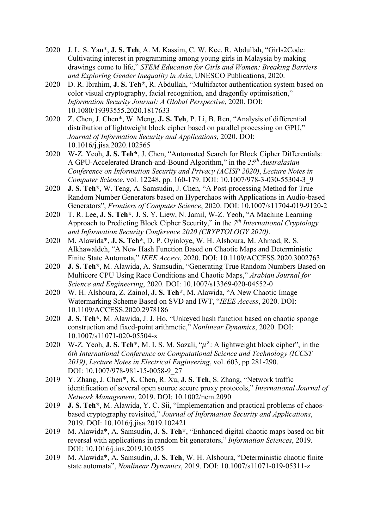- 2020 J. L. S. Yan\*, **J. S. Teh**, A. M. Kassim, C. W. Kee, R. Abdullah, "Girls2Code: Cultivating interest in programming among young girls in Malaysia by making drawings come to life," *STEM Education for Girls and Women: Breaking Barriers and Exploring Gender Inequality in Asia*, UNESCO Publications, 2020.
- 2020 D. R. Ibrahim, **J. S. Teh\***, R. Abdullah, "Multifactor authentication system based on color visual cryptography, facial recognition, and dragonfly optimisation," *Information Security Journal: A Global Perspective*, 2020. DOI: 10.1080/19393555.2020.1817633
- 2020 Z. Chen, J. Chen\*, W. Meng, **J. S. Teh**, P. Li, B. Ren, "Analysis of differential distribution of lightweight block cipher based on parallel processing on GPU," *Journal of Information Security and Applications*, 2020. DOI: 10.1016/j.jisa.2020.102565
- 2020 W-Z. Yeoh, **J. S. Teh\***, J. Chen, "Automated Search for Block Cipher Differentials: A GPU-Accelerated Branch-and-Bound Algorithm," in the *25th Australasian Conference on Information Security and Privacy (ACISP 2020)*, *Lecture Notes in Computer Science*, vol. 12248, pp. 160-179. DOI: 10.1007/978-3-030-55304-3\_9
- 2020 **J. S. Teh\***, W. Teng, A. Samsudin, J. Chen, "A Post-processing Method for True Random Number Generators based on Hyperchaos with Applications in Audio-based Generators", *Frontiers of Computer Science*, 2020. DOI: 10.1007/s11704-019-9120-2
- 2020 T. R. Lee, **J. S. Teh\***, J. S. Y. Liew, N. Jamil, W-Z. Yeoh, "A Machine Learning Approach to Predicting Block Cipher Security," in the *7th International Cryptology and Information Security Conference 2020 (CRYPTOLOGY 2020)*.
- 2020 M. Alawida\*, **J. S. Teh\***, D. P. Oyinloye, W. H. Alshoura, M. Ahmad, R. S. Alkhawaldeh, "A New Hash Function Based on Chaotic Maps and Deterministic Finite State Automata," *IEEE Access*, 2020. DOI: 10.1109/ACCESS.2020.3002763
- 2020 **J. S. Teh\***, M. Alawida, A. Samsudin, "Generating True Random Numbers Based on Multicore CPU Using Race Conditions and Chaotic Maps," *Arabian Journal for Science and Engineering*, 2020. DOI: 10.1007/s13369-020-04552-0
- 2020 W. H. Alshoura, Z. Zainol, **J. S. Teh\***, M. Alawida, "A New Chaotic Image Watermarking Scheme Based on SVD and IWT, "*IEEE Access*, 2020. DOI: 10.1109/ACCESS.2020.2978186
- 2020 **J. S. Teh\***, M. Alawida, J. J. Ho, "Unkeyed hash function based on chaotic sponge construction and fixed-point arithmetic," *Nonlinear Dynamics*, 2020. DOI: 10.1007/s11071-020-05504-x
- 2020 W-Z. Yeoh, **J. S. Teh**<sup>\*</sup>, M. I. S. M. Sazali, " $\mu^2$ : A lightweight block cipher", in the *6th International Conference on Computational Science and Technology (ICCST 2019)*, *Lecture Notes in Electrical Engineering*, vol. 603, pp 281-290. DOI: 10.1007/978-981-15-0058-9\_27
- 2019 Y. Zhang, J. Chen\*, K. Chen, R. Xu, **J. S. Teh**, S. Zhang, "Network traffic identification of several open source secure proxy protocols," *International Journal of Network Management*, 2019. DOI: 10.1002/nem.2090
- 2019 **J. S. Teh\***, M. Alawida, Y. C. Sii, "Implementation and practical problems of chaosbased cryptography revisited," *Journal of Information Security and Applications*, 2019. DOI: 10.1016/j.jisa.2019.102421
- 2019 M. Alawida\*, A. Samsudin, **J. S. Teh\***, "Enhanced digital chaotic maps based on bit reversal with applications in random bit generators," *Information Sciences*, 2019. DOI: 10.1016/j.ins.2019.10.055
- 2019 M. Alawida\*, A. Samsudin, **J. S. Teh**, W. H. Alshoura, "Deterministic chaotic finite state automata", *Nonlinear Dynamics*, 2019. DOI: 10.1007/s11071-019-05311-z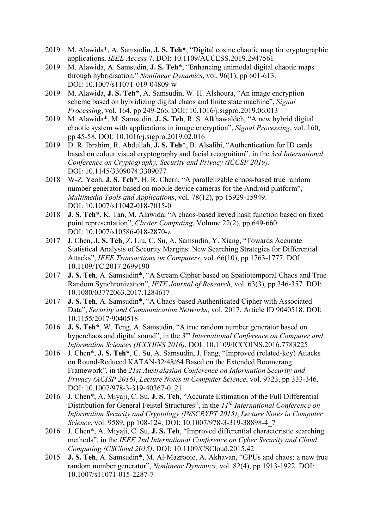- 2019 M. Alawida\*, A. Samsudin, **J. S. Teh\***, "Digital cosine chaotic map for cryptographic applications, *IEEE Access* 7. DOI: 10.1109/ACCESS.2019.2947561
- 2019 M. Alawida, A. Samsudin, **J. S. Teh**\*, "Enhancing unimodal digital chaotic maps through hybridisation," *Nonlinear Dynamics*, vol. 96(1), pp 601-613. DOI: 10.1007/s11071-019-04809-w
- 2019 M. Alawida, **J. S. Teh\***, A. Samsudin, W. H. Alshoura, "An image encryption scheme based on hybridizing digital chaos and finite state machine", *Signal Processing*, vol. 164, pp 249-266. DOI: 10.1016/j.sigpro.2019.06.013
- 2019 M. Alawida\*, M. Samsudin, **J. S. Teh**, R. S. Alkhawaldeh, "A new hybrid digital chaotic system with applications in image encryption", *Signal Processing*, vol. 160, pp 45-58. DOI: 10.1016/j.sigpro.2019.02.016
- 2019 D. R. Ibrahim, R. Abdullah, **J. S. Teh**\*, B. Alsalibi, "Authentication for ID cards based on colour visual cryptography and facial recognition", in the *3rd International Conference on Cryptography, Security and Privacy (ICCSP 2019)*. DOI: 10.1145/3309074.3309077
- 2018 W-Z. Yeoh, **J. S. Teh**\*, H. R. Chern, "A parallelizable chaos-based true random number generator based on mobile device cameras for the Android platform", *Multimedia Tools and Applications*, vol. 78(12), pp 15929-15949. DOI: 10.1007/s11042-018-7015-0
- 2018 **J. S. Teh**\*, K. Tan, M. Alawida, "A chaos-based keyed hash function based on fixed point representation", *Cluster Computing*, Volume 22(2), pp 649-660. DOI: 10.1007/s10586-018-2870-z
- 2017 J. Chen, **J. S. Teh**, Z. Liu, C. Su, A. Samsudin, Y. Xiang, "Towards Accurate Statistical Analysis of Security Margins: New Searching Strategies for Differential Attacks", *IEEE Transactions on Computers*, vol. 66(10), pp 1763-1777. DOI: 10.1109/TC.2017.2699190
- 2017 **J. S. Teh**, A. Samsudin\*, "A Stream Cipher based on Spatiotemporal Chaos and True Random Synchronization", *IETE Journal of Research*, vol. 63(3), pp 346-357. DOI: 10.1080/03772063.2017.1284617
- 2017 **J. S. Teh**, A. Samsudin\*, "A Chaos-based Authenticated Cipher with Associated Data", *Security and Communication Networks*, vol. 2017, Article ID 9040518. DOI: 10.1155/2017/9040518
- 2016 **J. S. Teh\***, W. Teng, A. Samsudin, "A true random number generator based on hyperchaos and digital sound", in the *3rd International Conference on Computer and Information Sciences (ICCOINS 2016)*. DOI: 10.1109/ICCOINS.2016.7783225
- 2016 J. Chen\*, **J. S. Teh\***, C. Su, A. Samsudin, J. Fang, "Improved (related-key) Attacks on Round-Reduced KATAN-32/48/64 Based on the Extended Boomerang Framework", in the *21st Australasian Conference on Information Security and Privacy (ACISP 2016)*, *Lecture Notes in Computer Science*, vol. 9723, pp 333-346. DOI: 10.1007/978-3-319-40367-0\_21
- 2016 J. Chen\*, A. Miyaji, C. Su, **J. S. Teh**, "Accurate Estimation of the Full Differential Distribution for General Feistel Structures", in the *11th International Conference on Information Security and Cryptology (INSCRYPT 2015)*, *Lecture Notes in Computer Science*, vol. 9589, pp 108-124. DOI: 10.1007/978-3-319-38898-4\_7
- 2016 J. Chen\*, A. Miyaji, C. Su, **J. S. Teh**, "Improved differential characteristic searching methods", in the *IEEE 2nd International Conference on Cyber Security and Cloud Computing (CSCloud 2015)*. DOI: 10.1109/CSCloud.2015.42
- 2015 **J. S. Teh**, A. Samsudin\*, M. Al-Mazrooie, A. Akhavan, "GPUs and chaos: a new true random number generator", *Nonlinear Dynamics*, vol. 82(4), pp 1913-1922. DOI: 10.1007/s11071-015-2287-7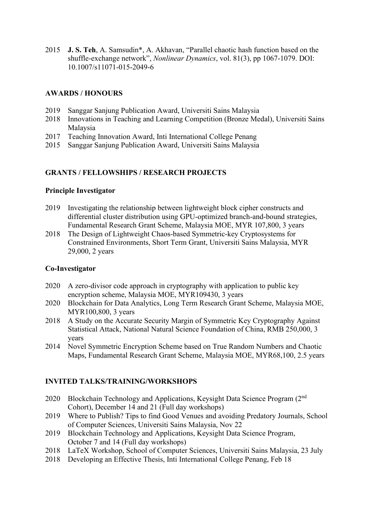2015 **J. S. Teh**, A. Samsudin\*, A. Akhavan, "Parallel chaotic hash function based on the shuffle-exchange network", *Nonlinear Dynamics*, vol. 81(3), pp 1067-1079. DOI: 10.1007/s11071-015-2049-6

# **AWARDS / HONOURS**

- 2019 Sanggar Sanjung Publication Award, Universiti Sains Malaysia
- 2018 Innovations in Teaching and Learning Competition (Bronze Medal), Universiti Sains Malaysia
- 2017 Teaching Innovation Award, Inti International College Penang
- 2015 Sanggar Sanjung Publication Award, Universiti Sains Malaysia

#### **GRANTS / FELLOWSHIPS / RESEARCH PROJECTS**

#### **Principle Investigator**

- 2019 Investigating the relationship between lightweight block cipher constructs and differential cluster distribution using GPU-optimized branch-and-bound strategies, Fundamental Research Grant Scheme, Malaysia MOE, MYR 107,800, 3 years
- 2018 The Design of Lightweight Chaos-based Symmetric-key Cryptosystems for Constrained Environments, Short Term Grant, Universiti Sains Malaysia, MYR 29,000, 2 years

### **Co-Investigator**

- 2020 A zero-divisor code approach in cryptography with application to public key encryption scheme, Malaysia MOE, MYR109430, 3 years
- 2020 Blockchain for Data Analytics, Long Term Research Grant Scheme, Malaysia MOE, MYR100,800, 3 years
- 2018 A Study on the Accurate Security Margin of Symmetric Key Cryptography Against Statistical Attack, National Natural Science Foundation of China, RMB 250,000, 3 years
- 2014 Novel Symmetric Encryption Scheme based on True Random Numbers and Chaotic Maps, Fundamental Research Grant Scheme, Malaysia MOE, MYR68,100, 2.5 years

# **INVITED TALKS/TRAINING/WORKSHOPS**

- 2020 Blockchain Technology and Applications, Keysight Data Science Program (2<sup>nd</sup>) Cohort), December 14 and 21 (Full day workshops)
- 2019 Where to Publish? Tips to find Good Venues and avoiding Predatory Journals, School of Computer Sciences, Universiti Sains Malaysia, Nov 22
- 2019 Blockchain Technology and Applications, Keysight Data Science Program, October 7 and 14 (Full day workshops)
- 2018 LaTeX Workshop, School of Computer Sciences, Universiti Sains Malaysia, 23 July
- 2018 Developing an Effective Thesis, Inti International College Penang, Feb 18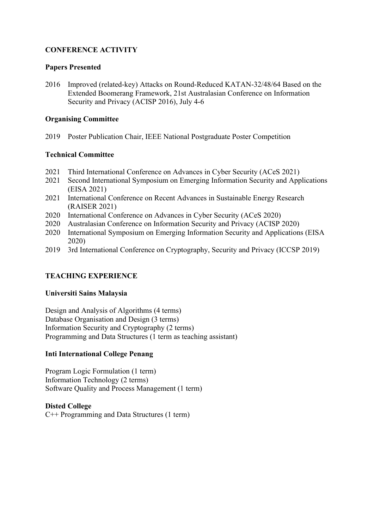# **CONFERENCE ACTIVITY**

### **Papers Presented**

2016 Improved (related-key) Attacks on Round-Reduced KATAN-32/48/64 Based on the Extended Boomerang Framework, 21st Australasian Conference on Information Security and Privacy (ACISP 2016), July 4-6

### **Organising Committee**

2019 Poster Publication Chair, IEEE National Postgraduate Poster Competition

# **Technical Committee**

- 2021 Third International Conference on Advances in Cyber Security (ACeS 2021)
- 2021 Second International Symposium on Emerging Information Security and Applications (EISA 2021)
- 2021 International Conference on Recent Advances in Sustainable Energy Research (RAISER 2021)
- 2020 International Conference on Advances in Cyber Security (ACeS 2020)
- 2020 Australasian Conference on Information Security and Privacy (ACISP 2020)
- 2020 International Symposium on Emerging Information Security and Applications (EISA 2020)
- 2019 3rd International Conference on Cryptography, Security and Privacy (ICCSP 2019)

# **TEACHING EXPERIENCE**

# **Universiti Sains Malaysia**

Design and Analysis of Algorithms (4 terms) Database Organisation and Design (3 terms) Information Security and Cryptography (2 terms) Programming and Data Structures (1 term as teaching assistant)

# **Inti International College Penang**

Program Logic Formulation (1 term) Information Technology (2 terms) Software Quality and Process Management (1 term)

#### **Disted College**

C++ Programming and Data Structures (1 term)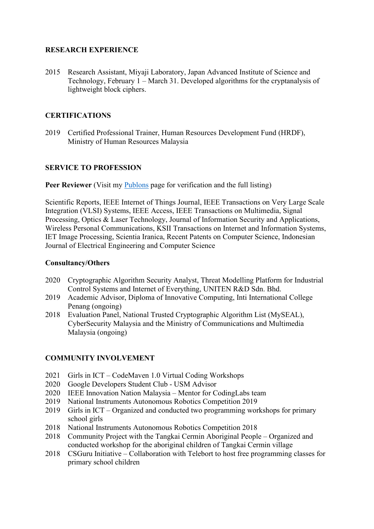# **RESEARCH EXPERIENCE**

2015 Research Assistant, Miyaji Laboratory, Japan Advanced Institute of Science and Technology, February 1 – March 31. Developed algorithms for the cryptanalysis of lightweight block ciphers.

# **CERTIFICATIONS**

2019 Certified Professional Trainer, Human Resources Development Fund (HRDF), Ministry of Human Resources Malaysia

# **SERVICE TO PROFESSION**

**Peer Reviewer** (Visit my [Publons](https://publons.com/researcher/1980369/je-sen-teh) page for verification and the full listing)

Scientific Reports, IEEE Internet of Things Journal, IEEE Transactions on Very Large Scale Integration (VLSI) Systems, IEEE Access, IEEE Transactions on Multimedia, Signal Processing, Optics & Laser Technology, Journal of Information Security and Applications, Wireless Personal Communications, KSII Transactions on Internet and Information Systems, IET Image Processing, Scientia Iranica, Recent Patents on Computer Science, Indonesian Journal of Electrical Engineering and Computer Science

# **Consultancy/Others**

- 2020 Cryptographic Algorithm Security Analyst, Threat Modelling Platform for Industrial Control Systems and Internet of Everything, UNITEN R&D Sdn. Bhd.
- 2019 Academic Advisor, Diploma of Innovative Computing, Inti International College Penang (ongoing)
- 2018 Evaluation Panel, National Trusted Cryptographic Algorithm List (MySEAL), CyberSecurity Malaysia and the Ministry of Communications and Multimedia Malaysia (ongoing)

# **COMMUNITY INVOLVEMENT**

- 2021 Girls in ICT CodeMaven 1.0 Virtual Coding Workshops
- 2020 Google Developers Student Club USM Advisor
- 2020 IEEE Innovation Nation Malaysia Mentor for CodingLabs team
- 2019 National Instruments Autonomous Robotics Competition 2019
- 2019 Girls in ICT Organized and conducted two programming workshops for primary school girls
- 2018 National Instruments Autonomous Robotics Competition 2018
- 2018 Community Project with the Tangkai Cermin Aboriginal People Organized and conducted workshop for the aboriginal children of Tangkai Cermin village
- 2018 CSGuru Initiative Collaboration with Telebort to host free programming classes for primary school children